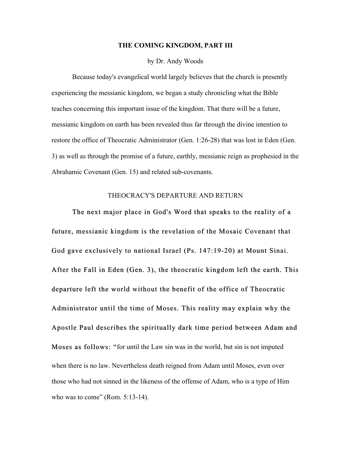#### **THE COMING KINGDOM, PART III**

#### by Dr. Andy Woods

Because today's evangelical world largely believes that the church is presently experiencing the messianic kingdom, we began a study chronicling what the Bible teaches concerning this important issue of the kingdom. That there will be a future, messianic kingdom on earth has been revealed thus far through the divine intention to restore the office of Theocratic Administrator (Gen. 1:26-28) that was lost in Eden (Gen. 3) as well as through the promise of a future, earthly, messianic reign as prophesied in the Abrahamic Covenant (Gen. 15) and related sub-covenants.

## THEOCRACY'S DEPARTURE AND RETURN

The next major place in God's Word that speaks to the reality of a future, messianic kingdom is the revelation of the Mosaic Covenant that God gave exclusively to national Israel (Ps. 147:19-20) at Mount Sinai. After the Fall in Eden (Gen. 3), the theocratic kingdom left the earth. This departure left the world without the benefit of the office of Theocratic Administrator until the time of Moses. This reality may explain why the Apostle Paul describes the spiritually dark time period between Adam and Moses as follows: "for until the Law sin was in the world, but sin is not imputed when there is no law. Nevertheless death reigned from Adam until Moses, even over those who had not sinned in the likeness of the offense of Adam, who is a type of Him who was to come" (Rom. 5:13-14).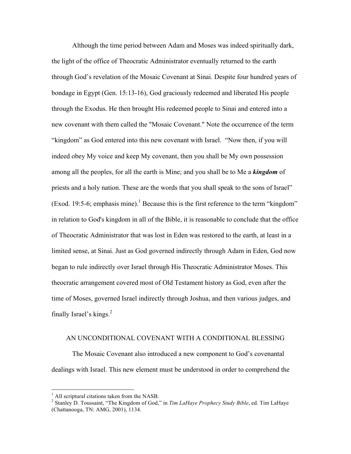Although the time period between Adam and Moses was indeed spiritually dark, the light of the office of Theocratic Administrator eventually returned to the earth through God's revelation of the Mosaic Covenant at Sinai. Despite four hundred years of bondage in Egypt (Gen. 15:13-16), God graciously redeemed and liberated His people through the Exodus. He then brought His redeemed people to Sinai and entered into a new covenant with them called the "Mosaic Covenant." Note the occurrence of the term "kingdom" as God entered into this new covenant with Israel. "Now then, if you will indeed obey My voice and keep My covenant, then you shall be My own possession among all the peoples, for all the earth is Mine; and you shall be to Me a *kingdom* of priests and a holy nation. These are the words that you shall speak to the sons of Israel" (Exod. 19:5-6; emphasis mine).<sup>1</sup> Because this is the first reference to the term "kingdom" in relation to God's kingdom in all of the Bible, it is reasonable to conclude that the office of Theocratic Administrator that was lost in Eden was restored to the earth, at least in a limited sense, at Sinai. Just as God governed indirectly through Adam in Eden, God now began to rule indirectly over Israel through His Theocratic Administrator Moses. This theocratic arrangement covered most of Old Testament history as God, even after the time of Moses, governed Israel indirectly through Joshua, and then various judges, and finally Israel's kings. $^{2}$ 

## AN UNCONDITIONAL COVENANT WITH A CONDITIONAL BLESSING

The Mosaic Covenant also introduced a new component to God's covenantal dealings with Israel. This new element must be understood in order to comprehend the

<sup>&</sup>lt;sup>1</sup> All scriptural citations taken from the NASB.<br><sup>2</sup> Stanley D. Toussaint, "The Kingdom of God," in *Tim LaHaye Prophecy Study Bible*, ed. Tim LaHaye (Chattanooga, TN: AMG, 2001), 1134.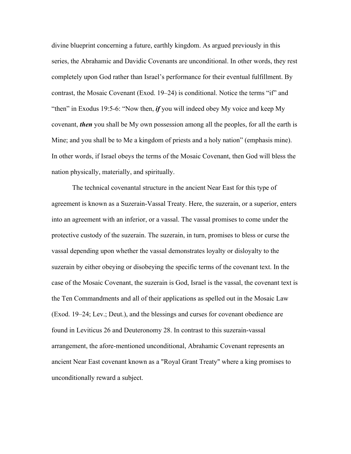divine blueprint concerning a future, earthly kingdom. As argued previously in this series, the Abrahamic and Davidic Covenants are unconditional. In other words, they rest completely upon God rather than Israel's performance for their eventual fulfillment. By contrast, the Mosaic Covenant (Exod. 19–24) is conditional. Notice the terms "if" and "then" in Exodus 19:5-6: "Now then, *if* you will indeed obey My voice and keep My covenant, *then* you shall be My own possession among all the peoples, for all the earth is Mine; and you shall be to Me a kingdom of priests and a holy nation" (emphasis mine). In other words, if Israel obeys the terms of the Mosaic Covenant, then God will bless the nation physically, materially, and spiritually.

The technical covenantal structure in the ancient Near East for this type of agreement is known as a Suzerain-Vassal Treaty. Here, the suzerain, or a superior, enters into an agreement with an inferior, or a vassal. The vassal promises to come under the protective custody of the suzerain. The suzerain, in turn, promises to bless or curse the vassal depending upon whether the vassal demonstrates loyalty or disloyalty to the suzerain by either obeying or disobeying the specific terms of the covenant text. In the case of the Mosaic Covenant, the suzerain is God, Israel is the vassal, the covenant text is the Ten Commandments and all of their applications as spelled out in the Mosaic Law (Exod. 19‒24; Lev.; Deut.), and the blessings and curses for covenant obedience are found in Leviticus 26 and Deuteronomy 28. In contrast to this suzerain-vassal arrangement, the afore-mentioned unconditional, Abrahamic Covenant represents an ancient Near East covenant known as a "Royal Grant Treaty" where a king promises to unconditionally reward a subject.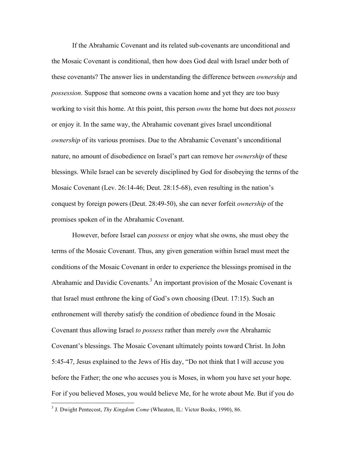If the Abrahamic Covenant and its related sub-covenants are unconditional and the Mosaic Covenant is conditional, then how does God deal with Israel under both of these covenants? The answer lies in understanding the difference between *ownership* and *possession*. Suppose that someone owns a vacation home and yet they are too busy working to visit this home. At this point, this person *owns* the home but does not *possess* or enjoy it. In the same way, the Abrahamic covenant gives Israel unconditional *ownership* of its various promises. Due to the Abrahamic Covenant's unconditional nature, no amount of disobedience on Israel's part can remove her *ownership* of these blessings. While Israel can be severely disciplined by God for disobeying the terms of the Mosaic Covenant (Lev. 26:14-46; Deut. 28:15-68), even resulting in the nation's conquest by foreign powers (Deut. 28:49-50), she can never forfeit *ownership* of the promises spoken of in the Abrahamic Covenant.

However, before Israel can *possess* or enjoy what she owns, she must obey the terms of the Mosaic Covenant. Thus, any given generation within Israel must meet the conditions of the Mosaic Covenant in order to experience the blessings promised in the Abrahamic and Davidic Covenants.<sup>3</sup> An important provision of the Mosaic Covenant is that Israel must enthrone the king of God's own choosing (Deut. 17:15). Such an enthronement will thereby satisfy the condition of obedience found in the Mosaic Covenant thus allowing Israel *to possess* rather than merely *own* the Abrahamic Covenant's blessings. The Mosaic Covenant ultimately points toward Christ. In John 5:45-47, Jesus explained to the Jews of His day, "Do not think that I will accuse you before the Father; the one who accuses you is Moses, in whom you have set your hope. For if you believed Moses, you would believe Me, for he wrote about Me. But if you do

 <sup>3</sup> J. Dwight Pentecost, *Thy Kingdom Come* (Wheaton, IL: Victor Books, 1990), 86.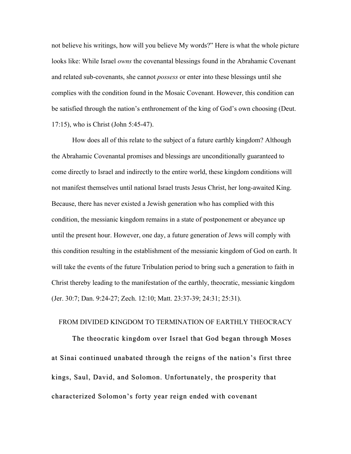not believe his writings, how will you believe My words?" Here is what the whole picture looks like: While Israel *owns* the covenantal blessings found in the Abrahamic Covenant and related sub-covenants, she cannot *possess* or enter into these blessings until she complies with the condition found in the Mosaic Covenant. However, this condition can be satisfied through the nation's enthronement of the king of God's own choosing (Deut. 17:15), who is Christ (John 5:45-47).

How does all of this relate to the subject of a future earthly kingdom? Although the Abrahamic Covenantal promises and blessings are unconditionally guaranteed to come directly to Israel and indirectly to the entire world, these kingdom conditions will not manifest themselves until national Israel trusts Jesus Christ, her long-awaited King. Because, there has never existed a Jewish generation who has complied with this condition, the messianic kingdom remains in a state of postponement or abeyance up until the present hour. However, one day, a future generation of Jews will comply with this condition resulting in the establishment of the messianic kingdom of God on earth. It will take the events of the future Tribulation period to bring such a generation to faith in Christ thereby leading to the manifestation of the earthly, theocratic, messianic kingdom (Jer. 30:7; Dan. 9:24-27; Zech. 12:10; Matt. 23:37-39; 24:31; 25:31).

# FROM DIVIDED KINGDOM TO TERMINATION OF EARTHLY THEOCRACY

The theocratic kingdom over Israel that God began through Moses at Sinai continued unabated through the reigns of the nation's first three kings, Saul, David, and Solomon. Unfortunately, the prosperity that characterized Solomon's forty year reign ended with covenant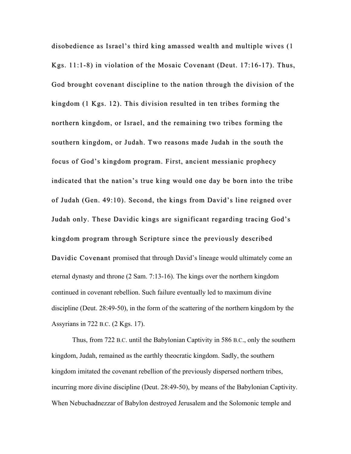disobedience as Israel's third king amassed wealth and multiple wives (1) Kgs. 11:1-8) in violation of the Mosaic Covenant (Deut. 17:16-17). Thus, God brought covenant discipline to the nation through the division of the kingdom (1 Kgs. 12). This division resulted in ten tribes forming the northern kingdom, or Israel, and the remaining two tribes forming the southern kingdom, or Judah. Two reasons made Judah in the south the focus of God's kingdom program. First, ancient messianic prophecy indicated that the nation's true king would one day be born into the tribe of Judah (Gen. 49:10). Second, the kings from David's line reigned over . Judah only. These Davidic kings are significant regarding tracing God's kingdom program through Scripture since the previously described Davidic Covenant promised that through David's lineage would ultimately come an eternal dynasty and throne (2 Sam. 7:13-16). The kings over the northern kingdom continued in covenant rebellion. Such failure eventually led to maximum divine discipline (Deut. 28:49-50), in the form of the scattering of the northern kingdom by the Assyrians in 722 B.C. (2 Kgs. 17).

Thus, from 722 B.C. until the Babylonian Captivity in 586 B.C., only the southern kingdom, Judah, remained as the earthly theocratic kingdom. Sadly, the southern kingdom imitated the covenant rebellion of the previously dispersed northern tribes, incurring more divine discipline (Deut. 28:49-50), by means of the Babylonian Captivity. When Nebuchadnezzar of Babylon destroyed Jerusalem and the Solomonic temple and